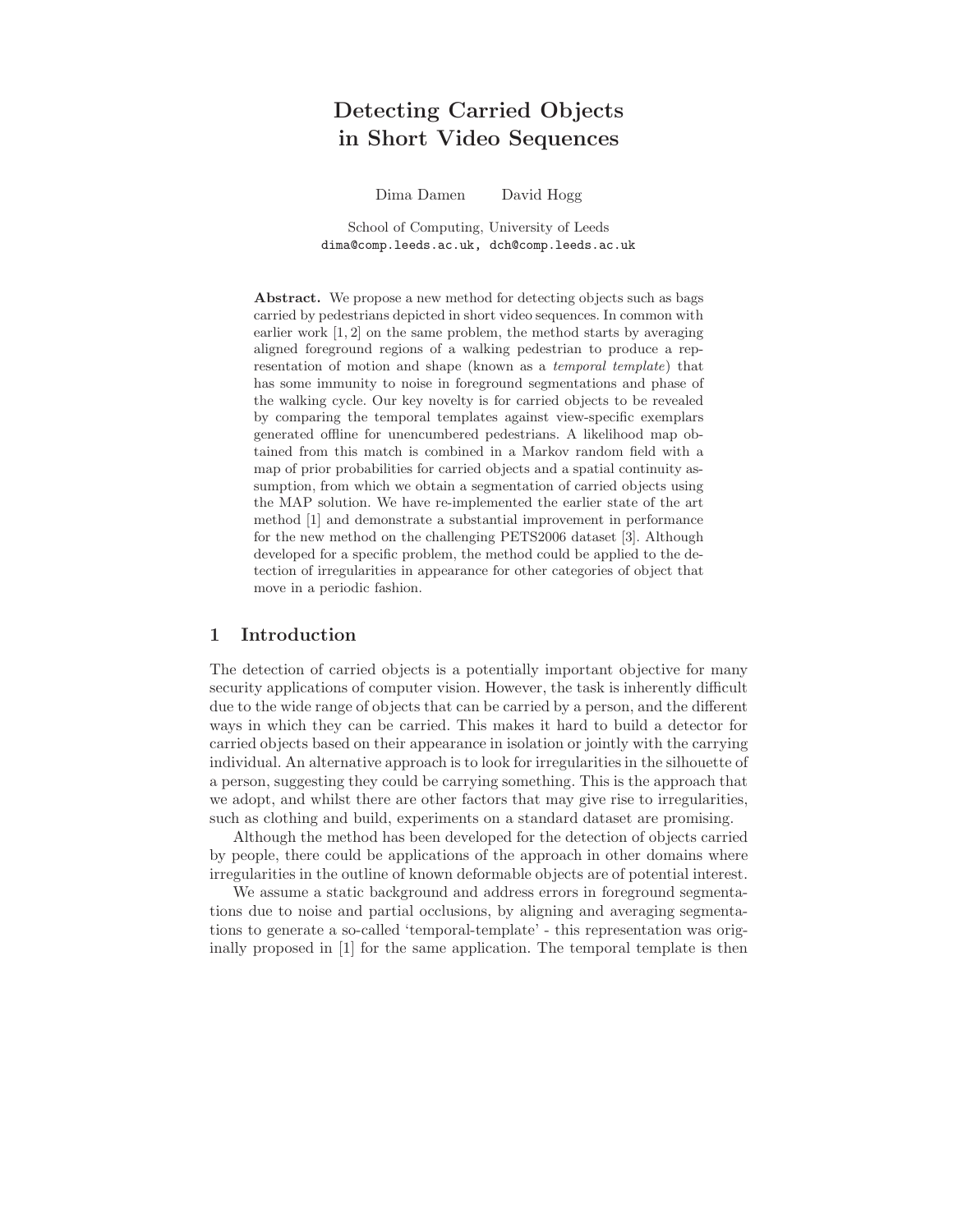# Detecting Carried Objects in Short Video Sequences

Dima Damen David Hogg

School of Computing, University of Leeds dima@comp.leeds.ac.uk, dch@comp.leeds.ac.uk

Abstract. We propose a new method for detecting objects such as bags carried by pedestrians depicted in short video sequences. In common with earlier work [1, 2] on the same problem, the method starts by averaging aligned foreground regions of a walking pedestrian to produce a representation of motion and shape (known as a temporal template) that has some immunity to noise in foreground segmentations and phase of the walking cycle. Our key novelty is for carried objects to be revealed by comparing the temporal templates against view-specific exemplars generated offline for unencumbered pedestrians. A likelihood map obtained from this match is combined in a Markov random field with a map of prior probabilities for carried objects and a spatial continuity assumption, from which we obtain a segmentation of carried objects using the MAP solution. We have re-implemented the earlier state of the art method [1] and demonstrate a substantial improvement in performance for the new method on the challenging PETS2006 dataset [3]. Although developed for a specific problem, the method could be applied to the detection of irregularities in appearance for other categories of object that move in a periodic fashion.

#### 1 Introduction

The detection of carried objects is a potentially important objective for many security applications of computer vision. However, the task is inherently difficult due to the wide range of objects that can be carried by a person, and the different ways in which they can be carried. This makes it hard to build a detector for carried objects based on their appearance in isolation or jointly with the carrying individual. An alternative approach is to look for irregularities in the silhouette of a person, suggesting they could be carrying something. This is the approach that we adopt, and whilst there are other factors that may give rise to irregularities, such as clothing and build, experiments on a standard dataset are promising.

Although the method has been developed for the detection of objects carried by people, there could be applications of the approach in other domains where irregularities in the outline of known deformable objects are of potential interest.

We assume a static background and address errors in foreground segmentations due to noise and partial occlusions, by aligning and averaging segmentations to generate a so-called 'temporal-template' - this representation was originally proposed in [1] for the same application. The temporal template is then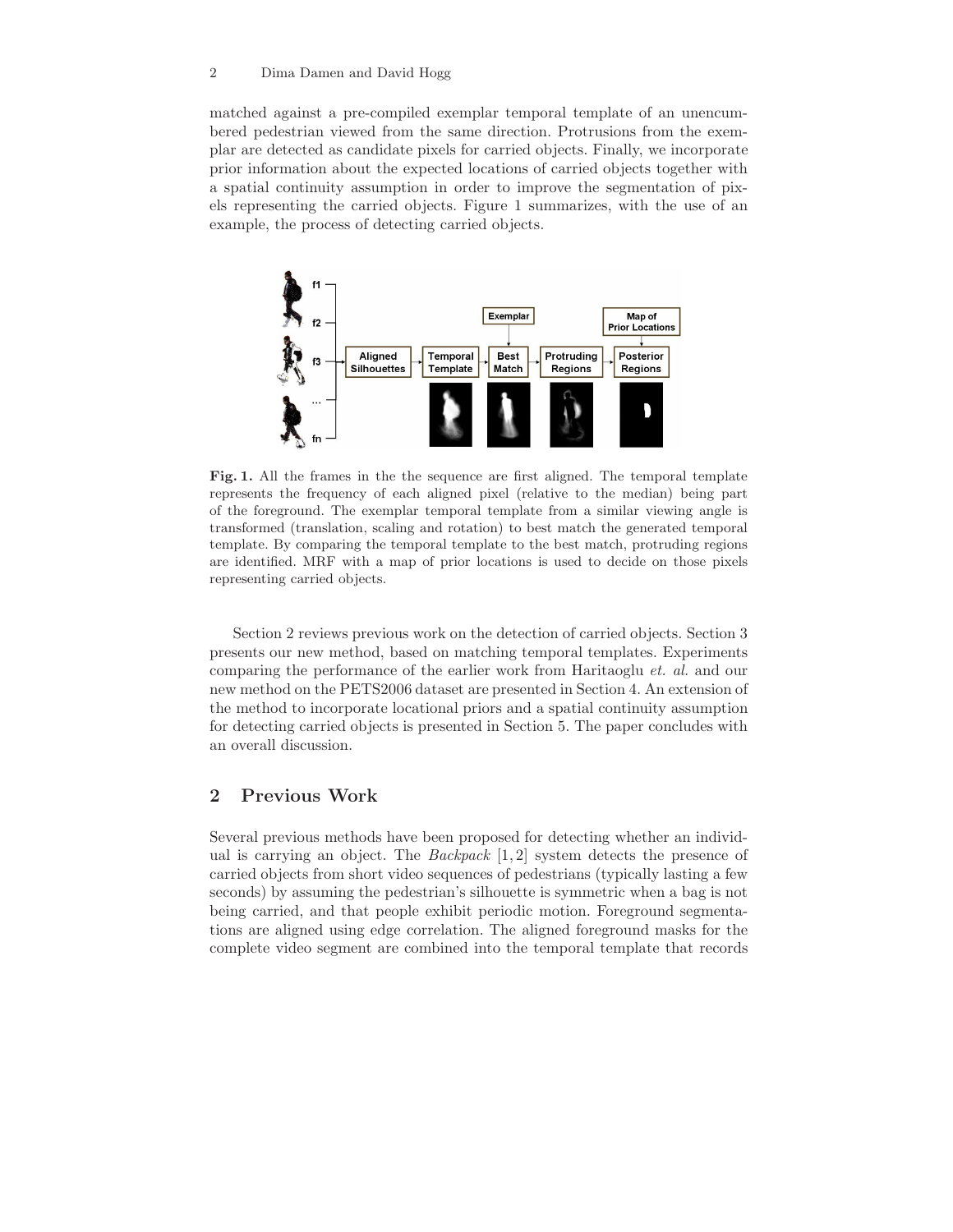matched against a pre-compiled exemplar temporal template of an unencumbered pedestrian viewed from the same direction. Protrusions from the exemplar are detected as candidate pixels for carried objects. Finally, we incorporate prior information about the expected locations of carried objects together with a spatial continuity assumption in order to improve the segmentation of pixels representing the carried objects. Figure 1 summarizes, with the use of an example, the process of detecting carried objects.



Fig. 1. All the frames in the the sequence are first aligned. The temporal template represents the frequency of each aligned pixel (relative to the median) being part of the foreground. The exemplar temporal template from a similar viewing angle is transformed (translation, scaling and rotation) to best match the generated temporal template. By comparing the temporal template to the best match, protruding regions are identified. MRF with a map of prior locations is used to decide on those pixels representing carried objects.

Section 2 reviews previous work on the detection of carried objects. Section 3 presents our new method, based on matching temporal templates. Experiments comparing the performance of the earlier work from Haritaoglu et. al. and our new method on the PETS2006 dataset are presented in Section 4. An extension of the method to incorporate locational priors and a spatial continuity assumption for detecting carried objects is presented in Section 5. The paper concludes with an overall discussion.

## 2 Previous Work

Several previous methods have been proposed for detecting whether an individual is carrying an object. The  $Backpack$   $[1, 2]$  system detects the presence of carried objects from short video sequences of pedestrians (typically lasting a few seconds) by assuming the pedestrian's silhouette is symmetric when a bag is not being carried, and that people exhibit periodic motion. Foreground segmentations are aligned using edge correlation. The aligned foreground masks for the complete video segment are combined into the temporal template that records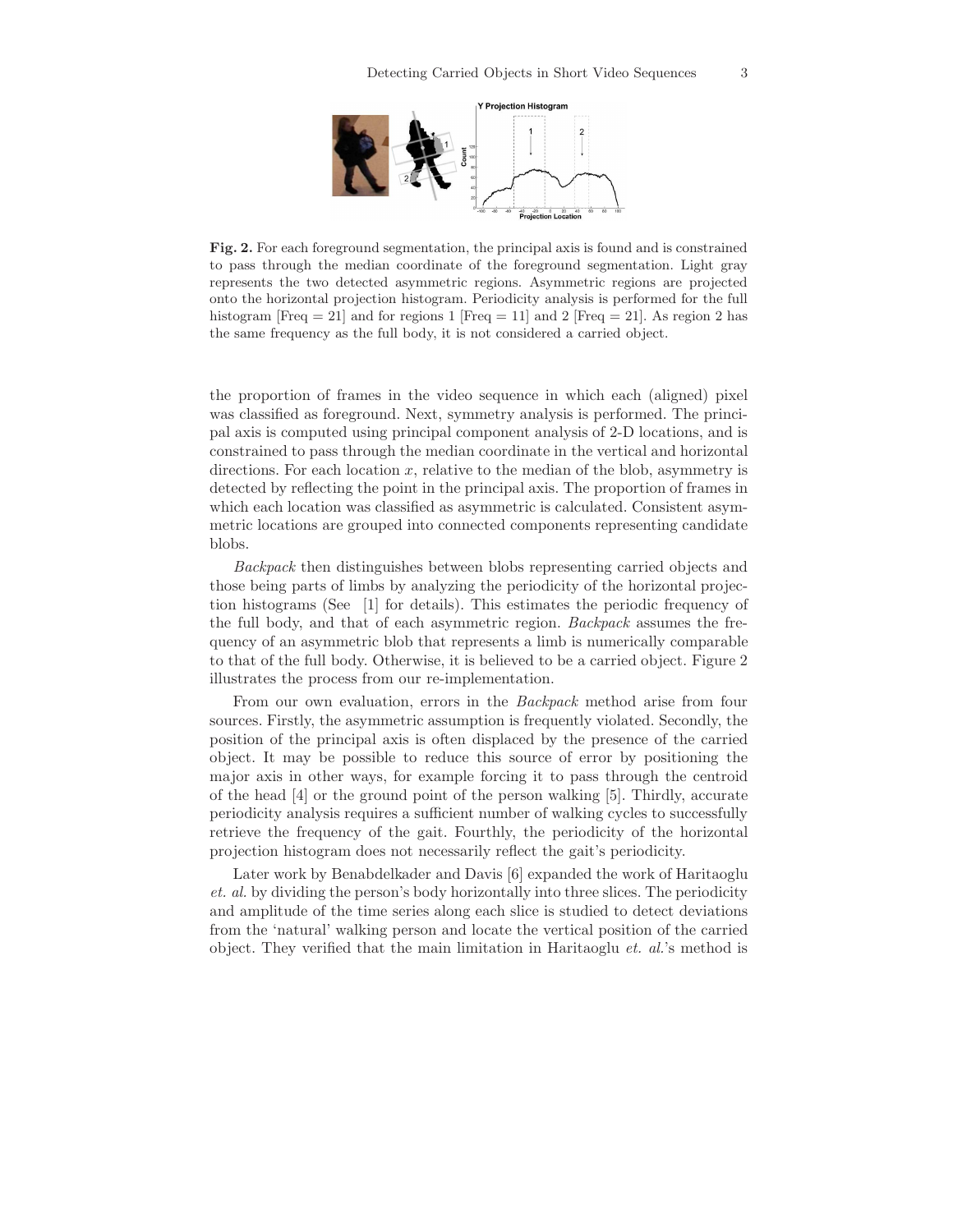

Fig. 2. For each foreground segmentation, the principal axis is found and is constrained to pass through the median coordinate of the foreground segmentation. Light gray represents the two detected asymmetric regions. Asymmetric regions are projected onto the horizontal projection histogram. Periodicity analysis is performed for the full histogram [Freq  $= 21$ ] and for regions 1 [Freq  $= 11$ ] and 2 [Freq  $= 21$ ]. As region 2 has the same frequency as the full body, it is not considered a carried object.

the proportion of frames in the video sequence in which each (aligned) pixel was classified as foreground. Next, symmetry analysis is performed. The principal axis is computed using principal component analysis of 2-D locations, and is constrained to pass through the median coordinate in the vertical and horizontal directions. For each location  $x$ , relative to the median of the blob, asymmetry is detected by reflecting the point in the principal axis. The proportion of frames in which each location was classified as asymmetric is calculated. Consistent asymmetric locations are grouped into connected components representing candidate blobs.

Backpack then distinguishes between blobs representing carried objects and those being parts of limbs by analyzing the periodicity of the horizontal projection histograms (See [1] for details). This estimates the periodic frequency of the full body, and that of each asymmetric region. Backpack assumes the frequency of an asymmetric blob that represents a limb is numerically comparable to that of the full body. Otherwise, it is believed to be a carried object. Figure 2 illustrates the process from our re-implementation.

From our own evaluation, errors in the Backpack method arise from four sources. Firstly, the asymmetric assumption is frequently violated. Secondly, the position of the principal axis is often displaced by the presence of the carried object. It may be possible to reduce this source of error by positioning the major axis in other ways, for example forcing it to pass through the centroid of the head [4] or the ground point of the person walking [5]. Thirdly, accurate periodicity analysis requires a sufficient number of walking cycles to successfully retrieve the frequency of the gait. Fourthly, the periodicity of the horizontal projection histogram does not necessarily reflect the gait's periodicity.

Later work by Benabdelkader and Davis [6] expanded the work of Haritaoglu et. al. by dividing the person's body horizontally into three slices. The periodicity and amplitude of the time series along each slice is studied to detect deviations from the 'natural' walking person and locate the vertical position of the carried object. They verified that the main limitation in Haritaoglu et. al.'s method is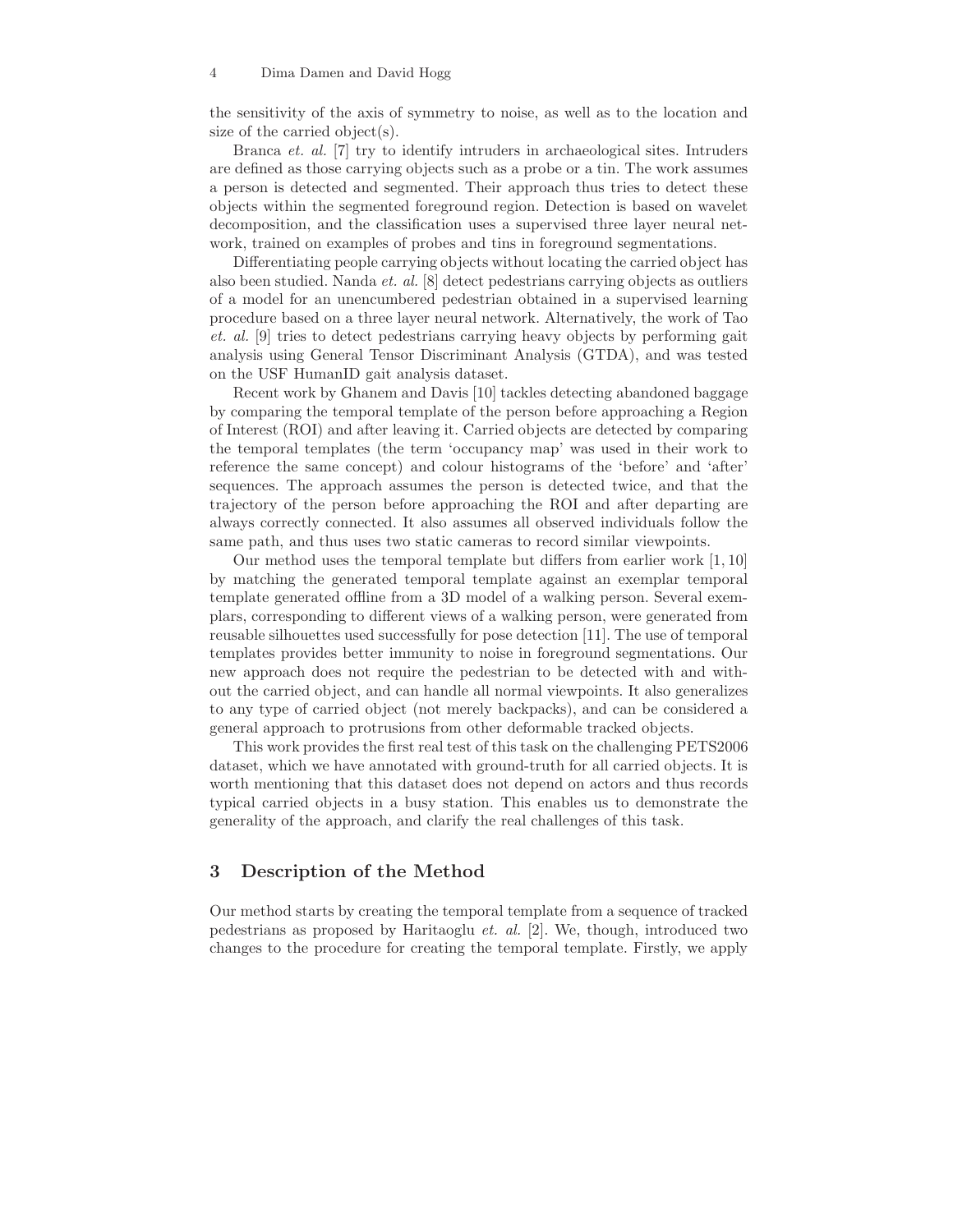#### 4 Dima Damen and David Hogg

the sensitivity of the axis of symmetry to noise, as well as to the location and size of the carried object(s).

Branca et. al. [7] try to identify intruders in archaeological sites. Intruders are defined as those carrying objects such as a probe or a tin. The work assumes a person is detected and segmented. Their approach thus tries to detect these objects within the segmented foreground region. Detection is based on wavelet decomposition, and the classification uses a supervised three layer neural network, trained on examples of probes and tins in foreground segmentations.

Differentiating people carrying objects without locating the carried object has also been studied. Nanda et. al. [8] detect pedestrians carrying objects as outliers of a model for an unencumbered pedestrian obtained in a supervised learning procedure based on a three layer neural network. Alternatively, the work of Tao et. al. [9] tries to detect pedestrians carrying heavy objects by performing gait analysis using General Tensor Discriminant Analysis (GTDA), and was tested on the USF HumanID gait analysis dataset.

Recent work by Ghanem and Davis [10] tackles detecting abandoned baggage by comparing the temporal template of the person before approaching a Region of Interest (ROI) and after leaving it. Carried objects are detected by comparing the temporal templates (the term 'occupancy map' was used in their work to reference the same concept) and colour histograms of the 'before' and 'after' sequences. The approach assumes the person is detected twice, and that the trajectory of the person before approaching the ROI and after departing are always correctly connected. It also assumes all observed individuals follow the same path, and thus uses two static cameras to record similar viewpoints.

Our method uses the temporal template but differs from earlier work [1, 10] by matching the generated temporal template against an exemplar temporal template generated offline from a 3D model of a walking person. Several exemplars, corresponding to different views of a walking person, were generated from reusable silhouettes used successfully for pose detection [11]. The use of temporal templates provides better immunity to noise in foreground segmentations. Our new approach does not require the pedestrian to be detected with and without the carried object, and can handle all normal viewpoints. It also generalizes to any type of carried object (not merely backpacks), and can be considered a general approach to protrusions from other deformable tracked objects.

This work provides the first real test of this task on the challenging PETS2006 dataset, which we have annotated with ground-truth for all carried objects. It is worth mentioning that this dataset does not depend on actors and thus records typical carried objects in a busy station. This enables us to demonstrate the generality of the approach, and clarify the real challenges of this task.

### 3 Description of the Method

Our method starts by creating the temporal template from a sequence of tracked pedestrians as proposed by Haritaoglu et. al. [2]. We, though, introduced two changes to the procedure for creating the temporal template. Firstly, we apply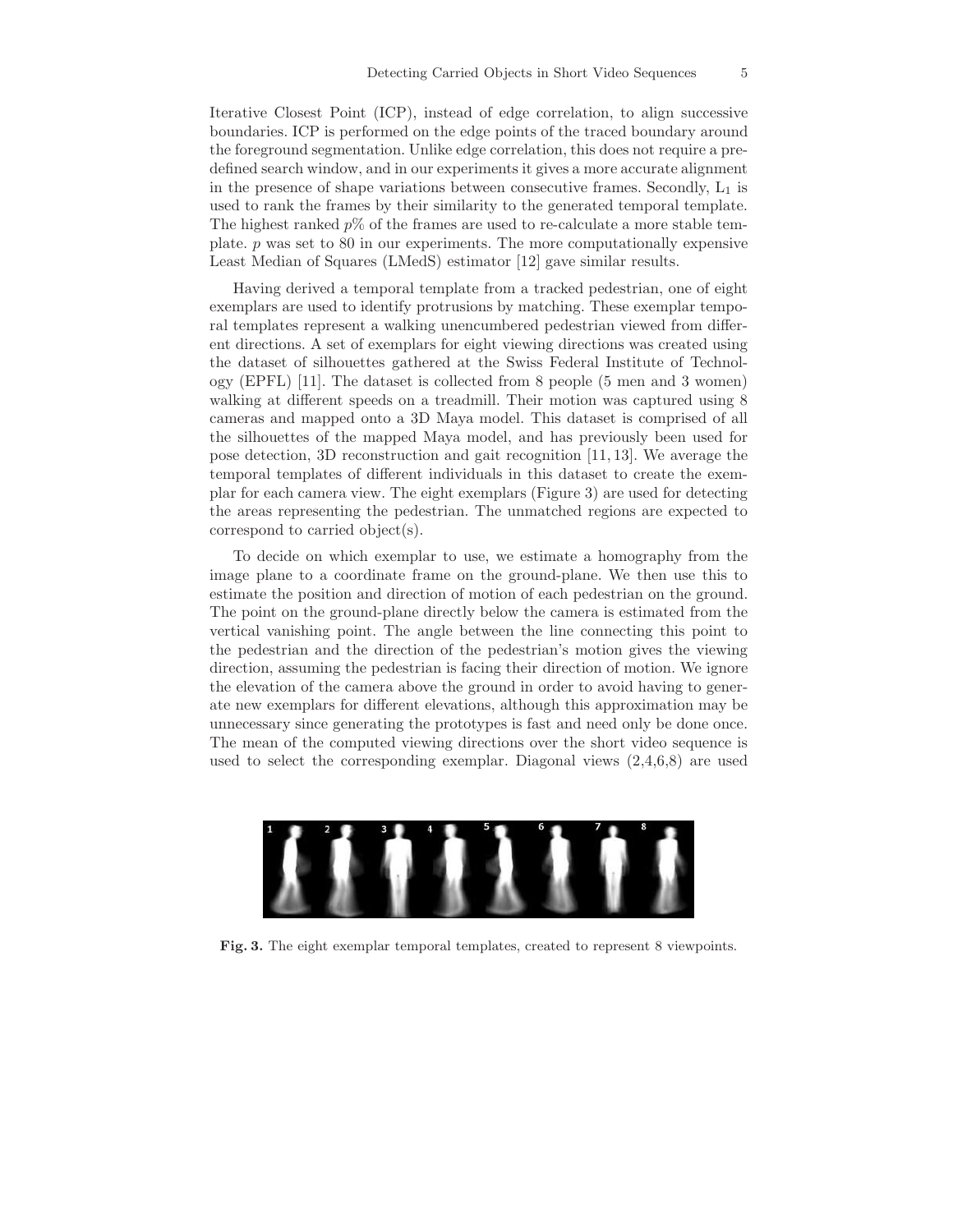Iterative Closest Point (ICP), instead of edge correlation, to align successive boundaries. ICP is performed on the edge points of the traced boundary around the foreground segmentation. Unlike edge correlation, this does not require a predefined search window, and in our experiments it gives a more accurate alignment in the presence of shape variations between consecutive frames. Secondly,  $L_1$  is used to rank the frames by their similarity to the generated temporal template. The highest ranked  $p\%$  of the frames are used to re-calculate a more stable template. p was set to 80 in our experiments. The more computationally expensive Least Median of Squares (LMedS) estimator [12] gave similar results.

Having derived a temporal template from a tracked pedestrian, one of eight exemplars are used to identify protrusions by matching. These exemplar temporal templates represent a walking unencumbered pedestrian viewed from different directions. A set of exemplars for eight viewing directions was created using the dataset of silhouettes gathered at the Swiss Federal Institute of Technology (EPFL) [11]. The dataset is collected from 8 people (5 men and 3 women) walking at different speeds on a treadmill. Their motion was captured using 8 cameras and mapped onto a 3D Maya model. This dataset is comprised of all the silhouettes of the mapped Maya model, and has previously been used for pose detection, 3D reconstruction and gait recognition [11, 13]. We average the temporal templates of different individuals in this dataset to create the exemplar for each camera view. The eight exemplars (Figure 3) are used for detecting the areas representing the pedestrian. The unmatched regions are expected to correspond to carried object(s).

To decide on which exemplar to use, we estimate a homography from the image plane to a coordinate frame on the ground-plane. We then use this to estimate the position and direction of motion of each pedestrian on the ground. The point on the ground-plane directly below the camera is estimated from the vertical vanishing point. The angle between the line connecting this point to the pedestrian and the direction of the pedestrian's motion gives the viewing direction, assuming the pedestrian is facing their direction of motion. We ignore the elevation of the camera above the ground in order to avoid having to generate new exemplars for different elevations, although this approximation may be unnecessary since generating the prototypes is fast and need only be done once. The mean of the computed viewing directions over the short video sequence is used to select the corresponding exemplar. Diagonal views  $(2,4,6,8)$  are used



Fig. 3. The eight exemplar temporal templates, created to represent 8 viewpoints.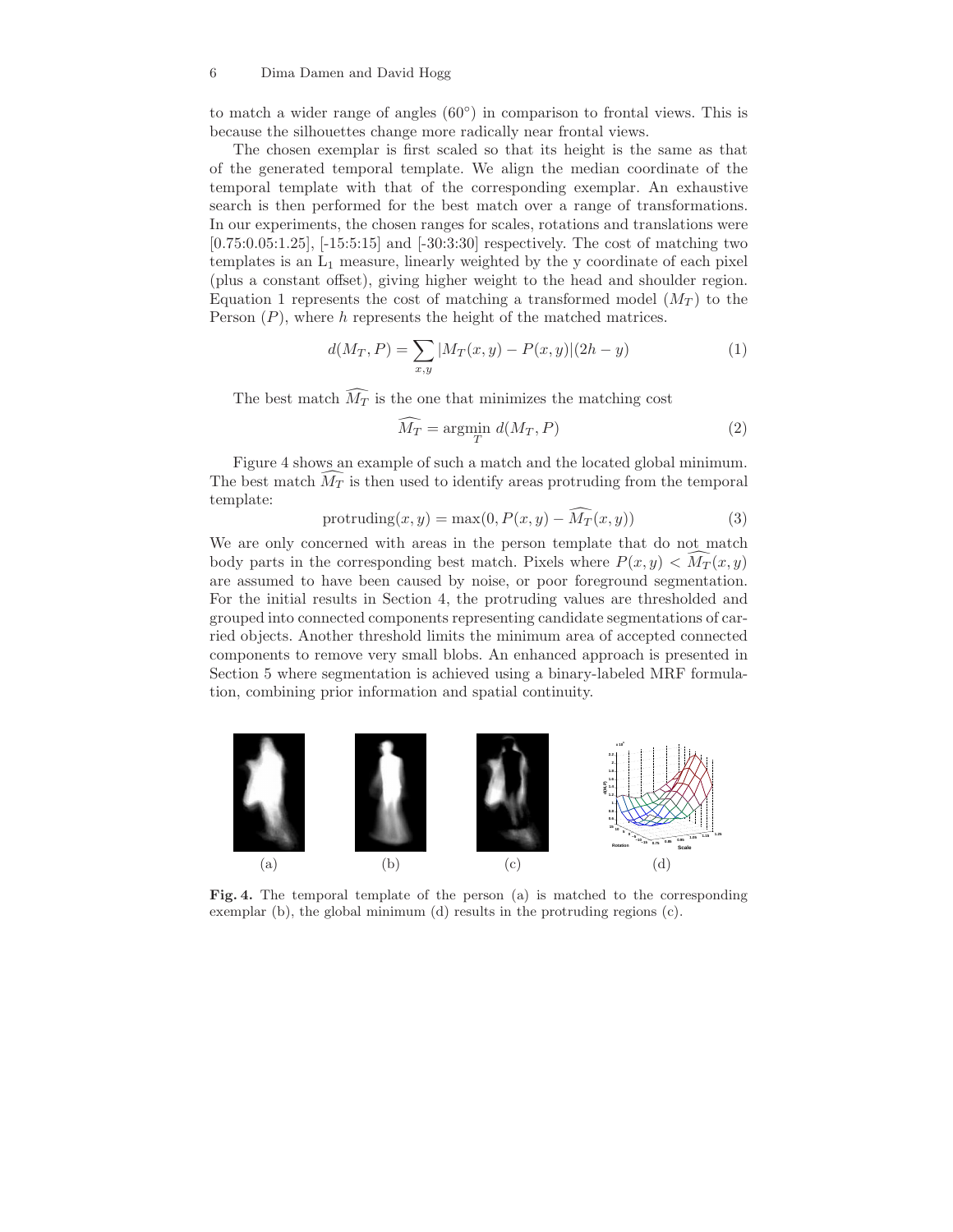#### 6 Dima Damen and David Hogg

to match a wider range of angles (60◦ ) in comparison to frontal views. This is because the silhouettes change more radically near frontal views.

The chosen exemplar is first scaled so that its height is the same as that of the generated temporal template. We align the median coordinate of the temporal template with that of the corresponding exemplar. An exhaustive search is then performed for the best match over a range of transformations. In our experiments, the chosen ranges for scales, rotations and translations were  $[0.75:0.05:1.25]$ ,  $[-15:5:15]$  and  $[-30:3:30]$  respectively. The cost of matching two templates is an  $L_1$  measure, linearly weighted by the y coordinate of each pixel (plus a constant offset), giving higher weight to the head and shoulder region. Equation 1 represents the cost of matching a transformed model  $(M_T)$  to the Person  $(P)$ , where h represents the height of the matched matrices.

$$
d(M_T, P) = \sum_{x,y} |M_T(x,y) - P(x,y)| (2h - y)
$$
 (1)

The best match  $\widehat{M_T}$  is the one that minimizes the matching cost

$$
\widehat{M_T} = \underset{T}{\text{argmin}} \ d(M_T, P) \tag{2}
$$

Figure 4 shows an example of such a match and the located global minimum. The best match  $\widehat{M}_T$  is then used to identify areas protruding from the temporal template:

$$
protruding(x, y) = \max(0, P(x, y) - M_T(x, y))
$$
\n(3)

We are only concerned with areas in the person template that do not match body parts in the corresponding best match. Pixels where  $P(x, y) < M_T(x, y)$ are assumed to have been caused by noise, or poor foreground segmentation. For the initial results in Section 4, the protruding values are thresholded and grouped into connected components representing candidate segmentations of carried objects. Another threshold limits the minimum area of accepted connected components to remove very small blobs. An enhanced approach is presented in Section 5 where segmentation is achieved using a binary-labeled MRF formulation, combining prior information and spatial continuity.



Fig. 4. The temporal template of the person (a) is matched to the corresponding exemplar (b), the global minimum (d) results in the protruding regions (c).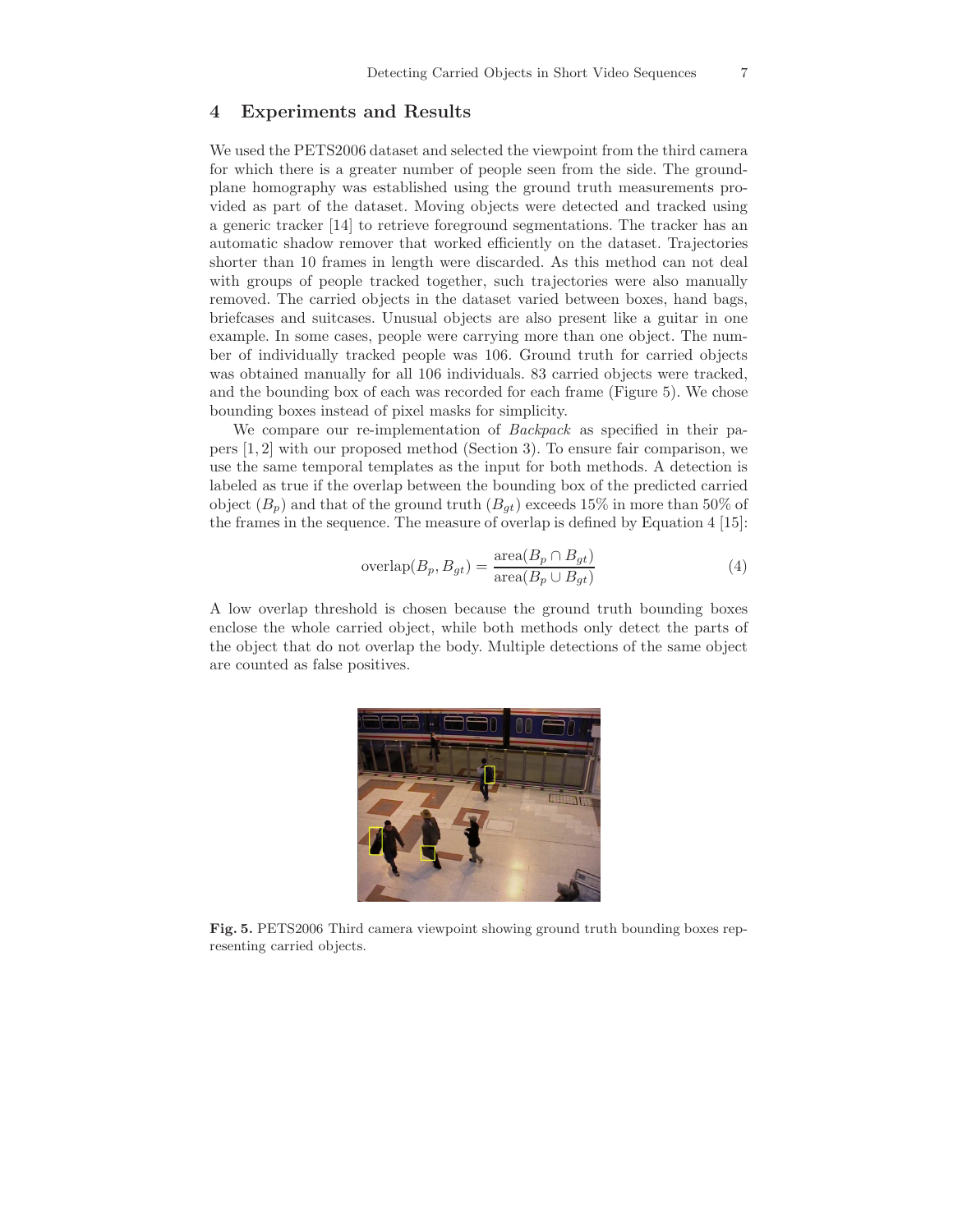### 4 Experiments and Results

We used the PETS2006 dataset and selected the viewpoint from the third camera for which there is a greater number of people seen from the side. The groundplane homography was established using the ground truth measurements provided as part of the dataset. Moving objects were detected and tracked using a generic tracker [14] to retrieve foreground segmentations. The tracker has an automatic shadow remover that worked efficiently on the dataset. Trajectories shorter than 10 frames in length were discarded. As this method can not deal with groups of people tracked together, such trajectories were also manually removed. The carried objects in the dataset varied between boxes, hand bags, briefcases and suitcases. Unusual objects are also present like a guitar in one example. In some cases, people were carrying more than one object. The number of individually tracked people was 106. Ground truth for carried objects was obtained manually for all 106 individuals. 83 carried objects were tracked, and the bounding box of each was recorded for each frame (Figure 5). We chose bounding boxes instead of pixel masks for simplicity.

We compare our re-implementation of *Backpack* as specified in their papers [1, 2] with our proposed method (Section 3). To ensure fair comparison, we use the same temporal templates as the input for both methods. A detection is labeled as true if the overlap between the bounding box of the predicted carried object  $(B_p)$  and that of the ground truth  $(B_{gt})$  exceeds 15% in more than 50% of the frames in the sequence. The measure of overlap is defined by Equation 4 [15]:

$$
\text{overlap}(B_p, B_{gt}) = \frac{\text{area}(B_p \cap B_{gt})}{\text{area}(B_p \cup B_{gt})}
$$
\n
$$
\tag{4}
$$

A low overlap threshold is chosen because the ground truth bounding boxes enclose the whole carried object, while both methods only detect the parts of the object that do not overlap the body. Multiple detections of the same object are counted as false positives.



Fig. 5. PETS2006 Third camera viewpoint showing ground truth bounding boxes representing carried objects.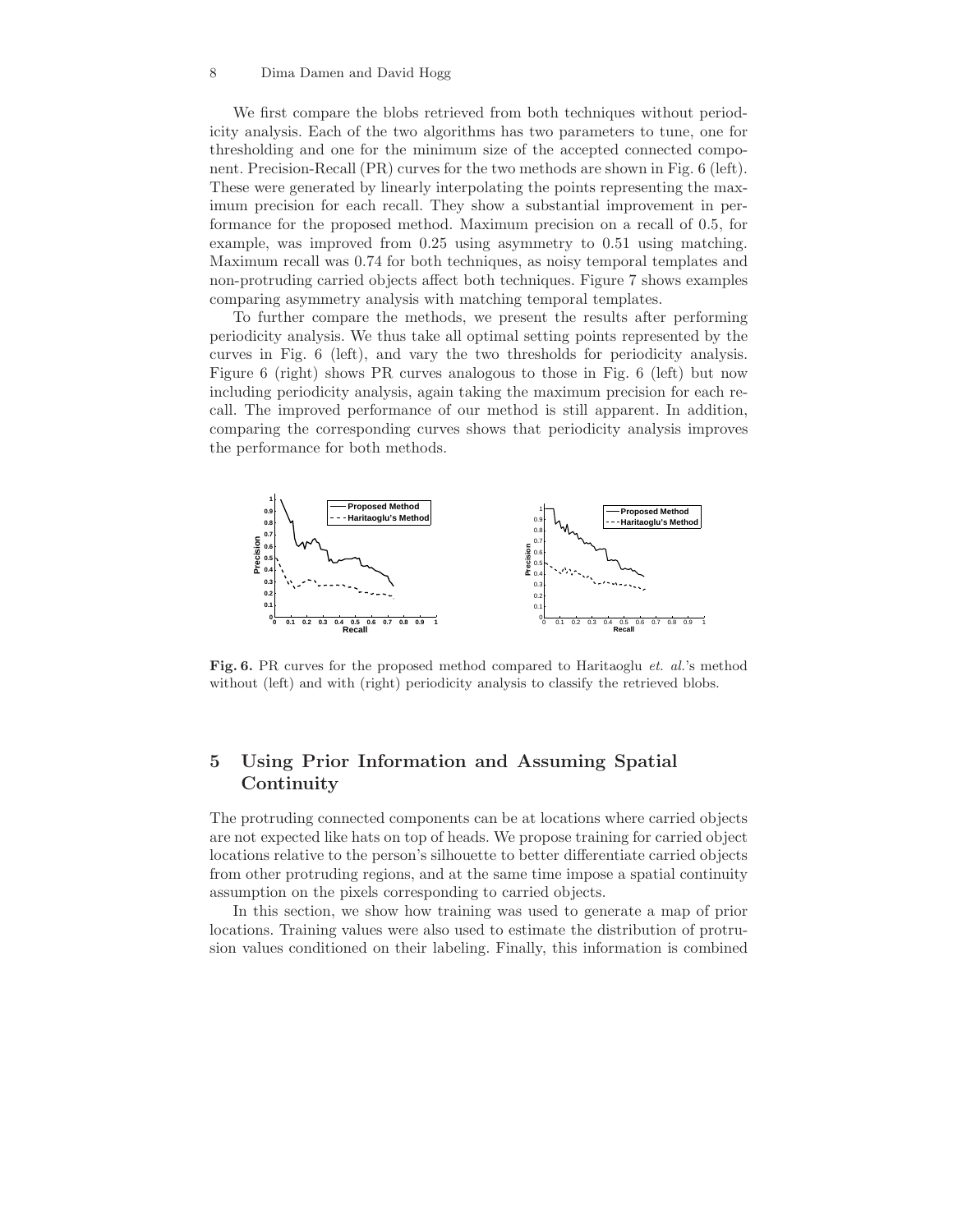#### 8 Dima Damen and David Hogg

We first compare the blobs retrieved from both techniques without periodicity analysis. Each of the two algorithms has two parameters to tune, one for thresholding and one for the minimum size of the accepted connected component. Precision-Recall (PR) curves for the two methods are shown in Fig. 6 (left). These were generated by linearly interpolating the points representing the maximum precision for each recall. They show a substantial improvement in performance for the proposed method. Maximum precision on a recall of 0.5, for example, was improved from 0.25 using asymmetry to 0.51 using matching. Maximum recall was 0.74 for both techniques, as noisy temporal templates and non-protruding carried objects affect both techniques. Figure 7 shows examples comparing asymmetry analysis with matching temporal templates.

To further compare the methods, we present the results after performing periodicity analysis. We thus take all optimal setting points represented by the curves in Fig. 6 (left), and vary the two thresholds for periodicity analysis. Figure 6 (right) shows PR curves analogous to those in Fig. 6 (left) but now including periodicity analysis, again taking the maximum precision for each recall. The improved performance of our method is still apparent. In addition, comparing the corresponding curves shows that periodicity analysis improves the performance for both methods.



Fig. 6. PR curves for the proposed method compared to Haritaoglu *et. al.*'s method without (left) and with (right) periodicity analysis to classify the retrieved blobs.

# 5 Using Prior Information and Assuming Spatial Continuity

The protruding connected components can be at locations where carried objects are not expected like hats on top of heads. We propose training for carried object locations relative to the person's silhouette to better differentiate carried objects from other protruding regions, and at the same time impose a spatial continuity assumption on the pixels corresponding to carried objects.

In this section, we show how training was used to generate a map of prior locations. Training values were also used to estimate the distribution of protrusion values conditioned on their labeling. Finally, this information is combined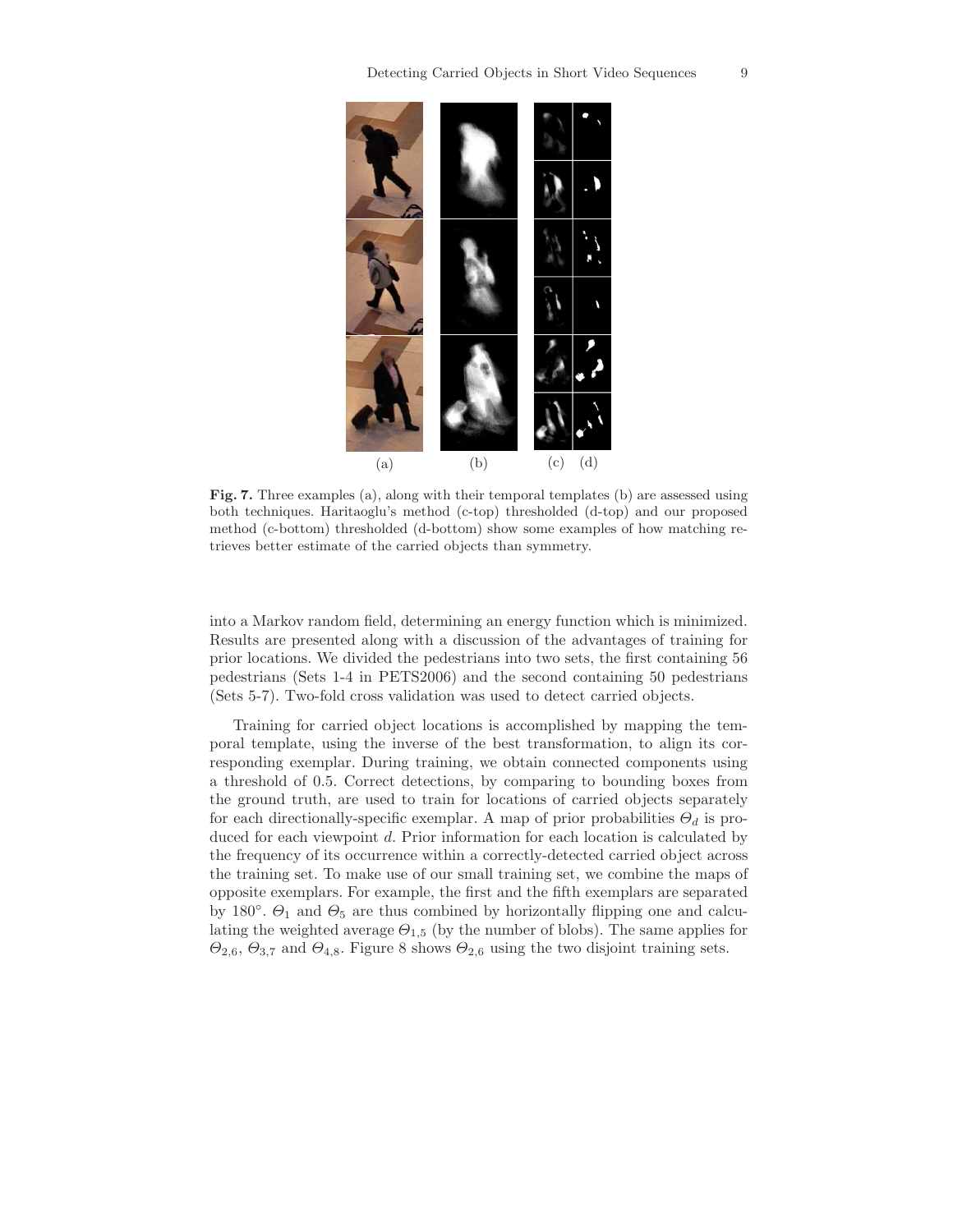

Fig. 7. Three examples (a), along with their temporal templates (b) are assessed using both techniques. Haritaoglu's method (c-top) thresholded (d-top) and our proposed method (c-bottom) thresholded (d-bottom) show some examples of how matching retrieves better estimate of the carried objects than symmetry.

into a Markov random field, determining an energy function which is minimized. Results are presented along with a discussion of the advantages of training for prior locations. We divided the pedestrians into two sets, the first containing 56 pedestrians (Sets 1-4 in PETS2006) and the second containing 50 pedestrians (Sets 5-7). Two-fold cross validation was used to detect carried objects.

Training for carried object locations is accomplished by mapping the temporal template, using the inverse of the best transformation, to align its corresponding exemplar. During training, we obtain connected components using a threshold of 0.5. Correct detections, by comparing to bounding boxes from the ground truth, are used to train for locations of carried objects separately for each directionally-specific exemplar. A map of prior probabilities  $\Theta_d$  is produced for each viewpoint d. Prior information for each location is calculated by the frequency of its occurrence within a correctly-detected carried object across the training set. To make use of our small training set, we combine the maps of opposite exemplars. For example, the first and the fifth exemplars are separated by 180 $\degree$ .  $\Theta_1$  and  $\Theta_5$  are thus combined by horizontally flipping one and calculating the weighted average  $\Theta_{1,5}$  (by the number of blobs). The same applies for  $\Theta_{2,6}$ ,  $\Theta_{3,7}$  and  $\Theta_{4,8}$ . Figure 8 shows  $\Theta_{2,6}$  using the two disjoint training sets.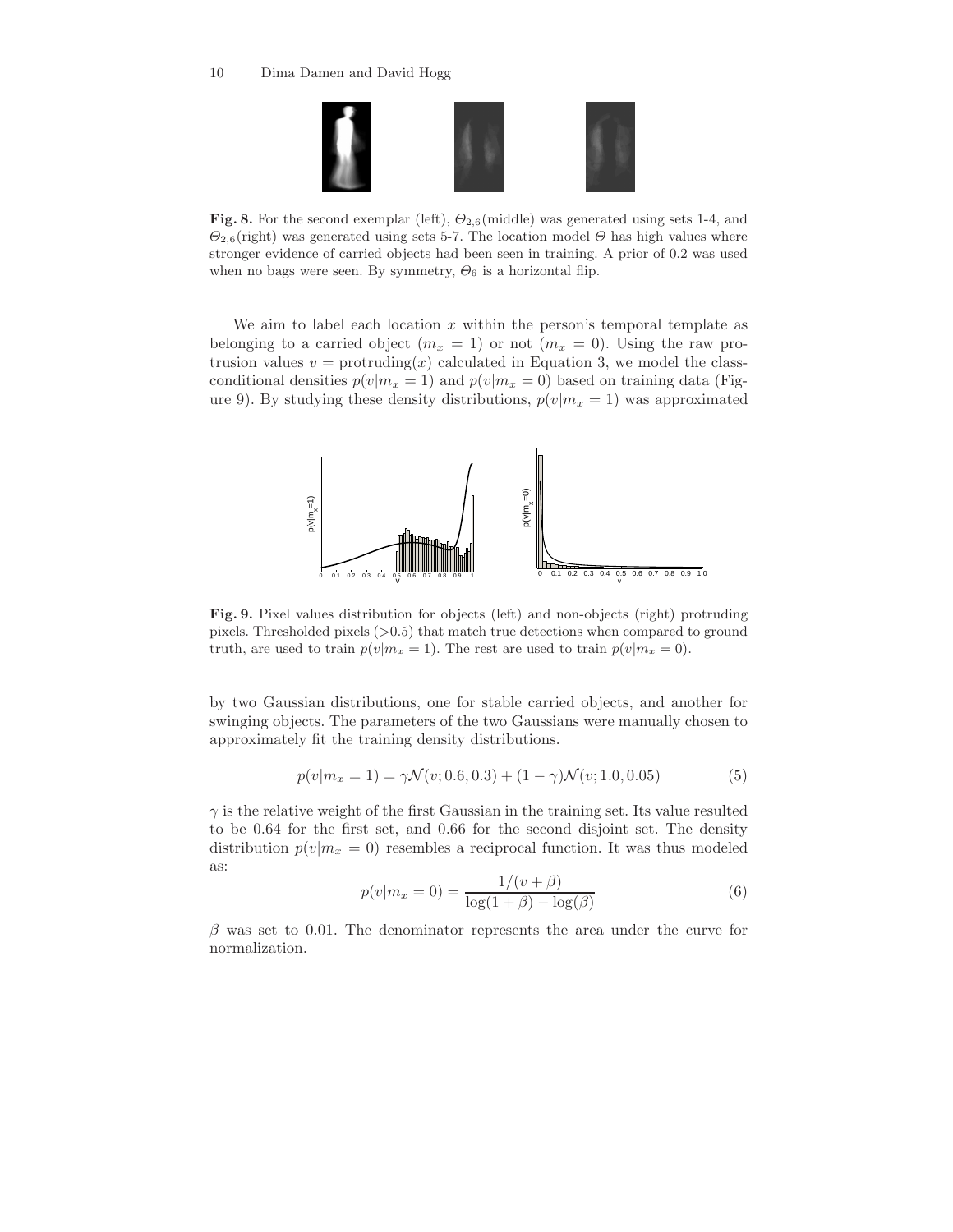

Fig. 8. For the second exemplar (left),  $\Theta_{2,6}$ (middle) was generated using sets 1-4, and  $\Theta_{2,6}$  (right) was generated using sets 5-7. The location model  $\Theta$  has high values where stronger evidence of carried objects had been seen in training. A prior of 0.2 was used when no bags were seen. By symmetry,  $\Theta_6$  is a horizontal flip.

We aim to label each location  $x$  within the person's temporal template as belonging to a carried object  $(m_x = 1)$  or not  $(m_x = 0)$ . Using the raw protrusion values  $v =$  protruding $(x)$  calculated in Equation 3, we model the classconditional densities  $p(v|m_x = 1)$  and  $p(v|m_x = 0)$  based on training data (Figure 9). By studying these density distributions,  $p(v|m_x = 1)$  was approximated



Fig. 9. Pixel values distribution for objects (left) and non-objects (right) protruding pixels. Thresholded pixels (>0.5) that match true detections when compared to ground truth, are used to train  $p(v|m_x = 1)$ . The rest are used to train  $p(v|m_x = 0)$ .

by two Gaussian distributions, one for stable carried objects, and another for swinging objects. The parameters of the two Gaussians were manually chosen to approximately fit the training density distributions.

$$
p(v|m_x = 1) = \gamma \mathcal{N}(v; 0.6, 0.3) + (1 - \gamma) \mathcal{N}(v; 1.0, 0.05)
$$
\n
$$
(5)
$$

 $\gamma$  is the relative weight of the first Gaussian in the training set. Its value resulted to be 0.64 for the first set, and 0.66 for the second disjoint set. The density distribution  $p(v|m_x = 0)$  resembles a reciprocal function. It was thus modeled as:

$$
p(v|m_x = 0) = \frac{1/(v+\beta)}{\log(1+\beta) - \log(\beta)}
$$
(6)

 $\beta$  was set to 0.01. The denominator represents the area under the curve for normalization.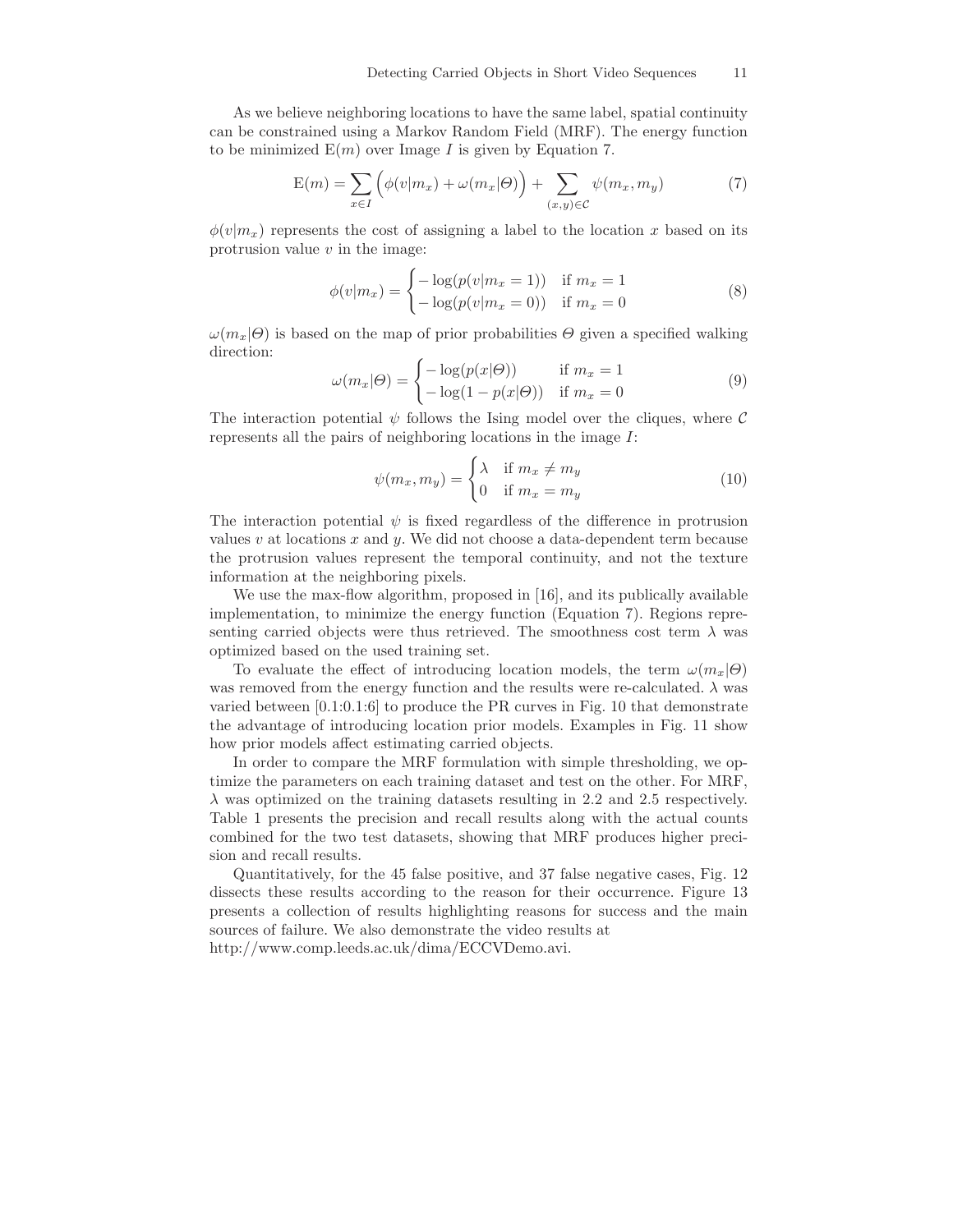As we believe neighboring locations to have the same label, spatial continuity can be constrained using a Markov Random Field (MRF). The energy function to be minimized  $E(m)$  over Image I is given by Equation 7.

$$
E(m) = \sum_{x \in I} \left( \phi(v|m_x) + \omega(m_x|\Theta) \right) + \sum_{(x,y) \in C} \psi(m_x, m_y) \tag{7}
$$

 $\phi(v|m_x)$  represents the cost of assigning a label to the location x based on its protrusion value  $v$  in the image:

$$
\phi(v|m_x) = \begin{cases}\n-\log(p(v|m_x=1)) & \text{if } m_x=1 \\
-\log(p(v|m_x=0)) & \text{if } m_x=0\n\end{cases}
$$
\n(8)

 $\omega(m_x|\Theta)$  is based on the map of prior probabilities  $\Theta$  given a specified walking direction:

$$
\omega(m_x|\Theta) = \begin{cases}\n-\log(p(x|\Theta)) & \text{if } m_x = 1 \\
-\log(1 - p(x|\Theta)) & \text{if } m_x = 0\n\end{cases}
$$
\n(9)

The interaction potential  $\psi$  follows the Ising model over the cliques, where C represents all the pairs of neighboring locations in the image I:

$$
\psi(m_x, m_y) = \begin{cases} \lambda & \text{if } m_x \neq m_y \\ 0 & \text{if } m_x = m_y \end{cases}
$$
 (10)

The interaction potential  $\psi$  is fixed regardless of the difference in protrusion values  $v$  at locations  $x$  and  $y$ . We did not choose a data-dependent term because the protrusion values represent the temporal continuity, and not the texture information at the neighboring pixels.

We use the max-flow algorithm, proposed in [16], and its publically available implementation, to minimize the energy function (Equation 7). Regions representing carried objects were thus retrieved. The smoothness cost term  $\lambda$  was optimized based on the used training set.

To evaluate the effect of introducing location models, the term  $\omega(m_x|\Theta)$ was removed from the energy function and the results were re-calculated.  $\lambda$  was varied between  $[0.1:0.1:6]$  to produce the PR curves in Fig. 10 that demonstrate the advantage of introducing location prior models. Examples in Fig. 11 show how prior models affect estimating carried objects.

In order to compare the MRF formulation with simple thresholding, we optimize the parameters on each training dataset and test on the other. For MRF,  $\lambda$  was optimized on the training datasets resulting in 2.2 and 2.5 respectively. Table 1 presents the precision and recall results along with the actual counts combined for the two test datasets, showing that MRF produces higher precision and recall results.

Quantitatively, for the 45 false positive, and 37 false negative cases, Fig. 12 dissects these results according to the reason for their occurrence. Figure 13 presents a collection of results highlighting reasons for success and the main sources of failure. We also demonstrate the video results at http://www.comp.leeds.ac.uk/dima/ECCVDemo.avi.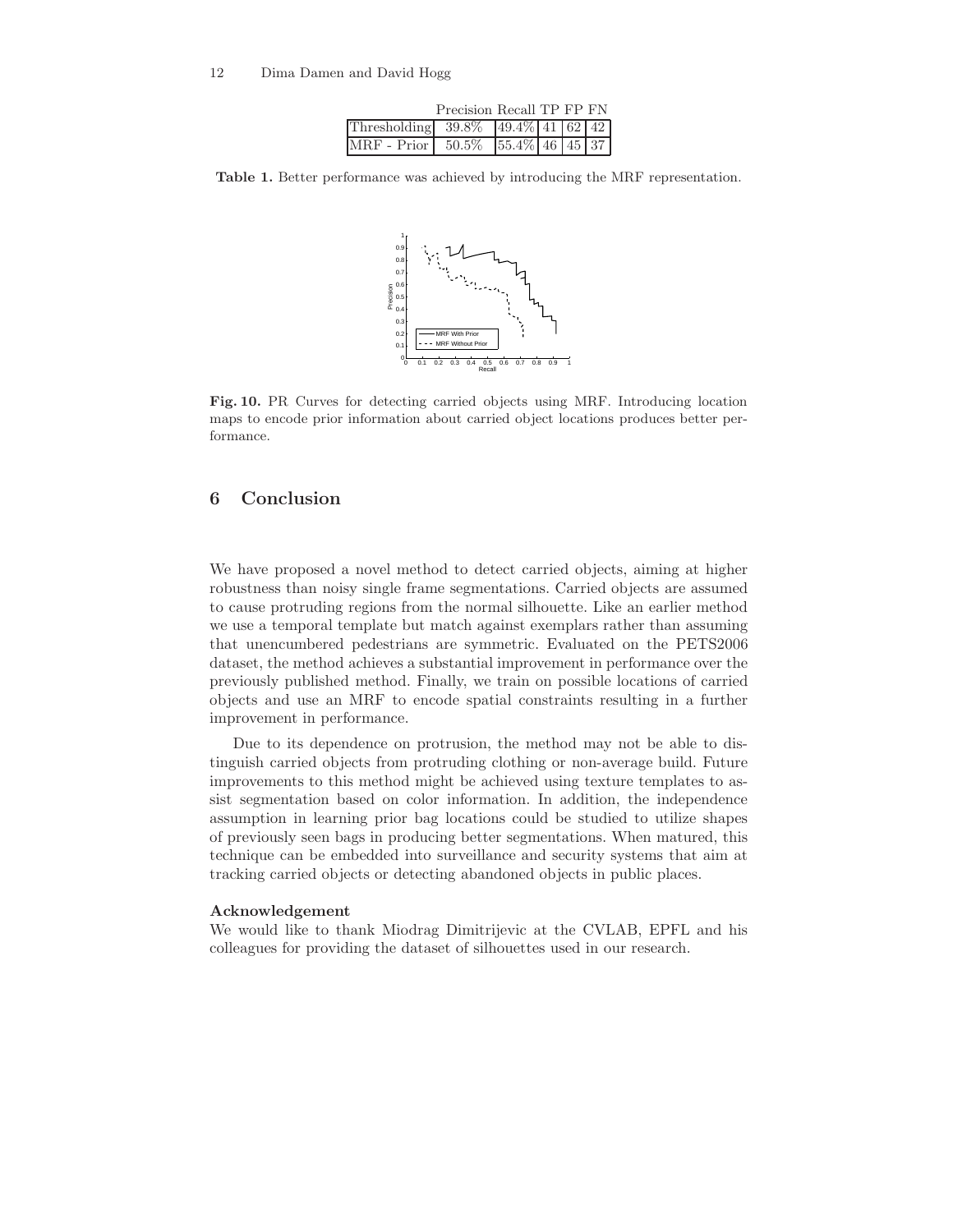|                                   | Precision Recall TP FP FN |  |  |
|-----------------------------------|---------------------------|--|--|
| Thresholding 39.8% 49.4% 41 62 42 |                           |  |  |
| MRF - Prior 50.5% 55.4% 46 45 37  |                           |  |  |

Table 1. Better performance was achieved by introducing the MRF representation.



Fig. 10. PR Curves for detecting carried objects using MRF. Introducing location maps to encode prior information about carried object locations produces better performance.

### 6 Conclusion

We have proposed a novel method to detect carried objects, aiming at higher robustness than noisy single frame segmentations. Carried objects are assumed to cause protruding regions from the normal silhouette. Like an earlier method we use a temporal template but match against exemplars rather than assuming that unencumbered pedestrians are symmetric. Evaluated on the PETS2006 dataset, the method achieves a substantial improvement in performance over the previously published method. Finally, we train on possible locations of carried objects and use an MRF to encode spatial constraints resulting in a further improvement in performance.

Due to its dependence on protrusion, the method may not be able to distinguish carried objects from protruding clothing or non-average build. Future improvements to this method might be achieved using texture templates to assist segmentation based on color information. In addition, the independence assumption in learning prior bag locations could be studied to utilize shapes of previously seen bags in producing better segmentations. When matured, this technique can be embedded into surveillance and security systems that aim at tracking carried objects or detecting abandoned objects in public places.

#### Acknowledgement

We would like to thank Miodrag Dimitrijevic at the CVLAB, EPFL and his colleagues for providing the dataset of silhouettes used in our research.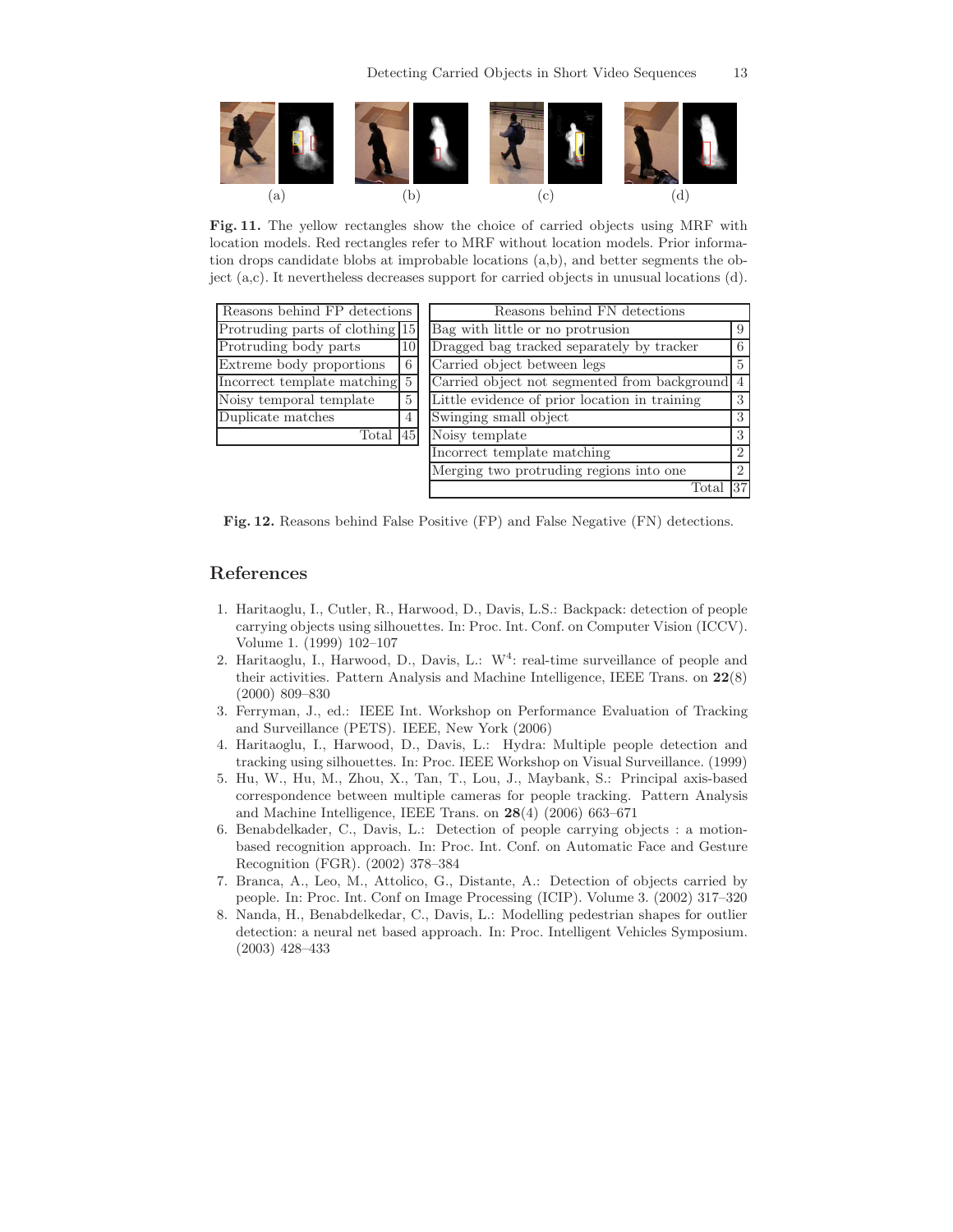

Fig. 11. The yellow rectangles show the choice of carried objects using MRF with location models. Red rectangles refer to MRF without location models. Prior information drops candidate blobs at improbable locations (a,b), and better segments the object (a,c). It nevertheless decreases support for carried objects in unusual locations (d).

| Reasons behind FP detections    |    | Reasons behind FN detections                   |                             |
|---------------------------------|----|------------------------------------------------|-----------------------------|
| Protruding parts of clothing 15 |    | Bag with little or no protrusion               | 9                           |
| Protruding body parts           | 10 | Dragged bag tracked separately by tracker      | 6                           |
| Extreme body proportions        | 6  | Carried object between legs                    | 5                           |
| Incorrect template matching 5   |    | Carried object not segmented from background 4 |                             |
| Noisy temporal template         | 5  | Little evidence of prior location in training  | $\mathcal{R}$               |
| Duplicate matches               | 4  | Swinging small object                          | 3                           |
| Total 45                        |    | Noisy template                                 | 3                           |
|                                 |    | Incorrect template matching                    | $\mathcal{D}_{\mathcal{L}}$ |
|                                 |    | Merging two protruding regions into one        | $\mathcal{D}$               |
|                                 |    | Total                                          | 137                         |

Fig. 12. Reasons behind False Positive (FP) and False Negative (FN) detections.

### References

- 1. Haritaoglu, I., Cutler, R., Harwood, D., Davis, L.S.: Backpack: detection of people carrying objects using silhouettes. In: Proc. Int. Conf. on Computer Vision (ICCV). Volume 1. (1999) 102–107
- 2. Haritaoglu, I., Harwood, D., Davis, L.:  $W^4$ : real-time surveillance of people and their activities. Pattern Analysis and Machine Intelligence, IEEE Trans. on 22(8) (2000) 809–830
- 3. Ferryman, J., ed.: IEEE Int. Workshop on Performance Evaluation of Tracking and Surveillance (PETS). IEEE, New York (2006)
- 4. Haritaoglu, I., Harwood, D., Davis, L.: Hydra: Multiple people detection and tracking using silhouettes. In: Proc. IEEE Workshop on Visual Surveillance. (1999)
- 5. Hu, W., Hu, M., Zhou, X., Tan, T., Lou, J., Maybank, S.: Principal axis-based correspondence between multiple cameras for people tracking. Pattern Analysis and Machine Intelligence, IEEE Trans. on 28(4) (2006) 663–671
- 6. Benabdelkader, C., Davis, L.: Detection of people carrying objects : a motionbased recognition approach. In: Proc. Int. Conf. on Automatic Face and Gesture Recognition (FGR). (2002) 378–384
- 7. Branca, A., Leo, M., Attolico, G., Distante, A.: Detection of objects carried by people. In: Proc. Int. Conf on Image Processing (ICIP). Volume 3. (2002) 317–320
- 8. Nanda, H., Benabdelkedar, C., Davis, L.: Modelling pedestrian shapes for outlier detection: a neural net based approach. In: Proc. Intelligent Vehicles Symposium. (2003) 428–433